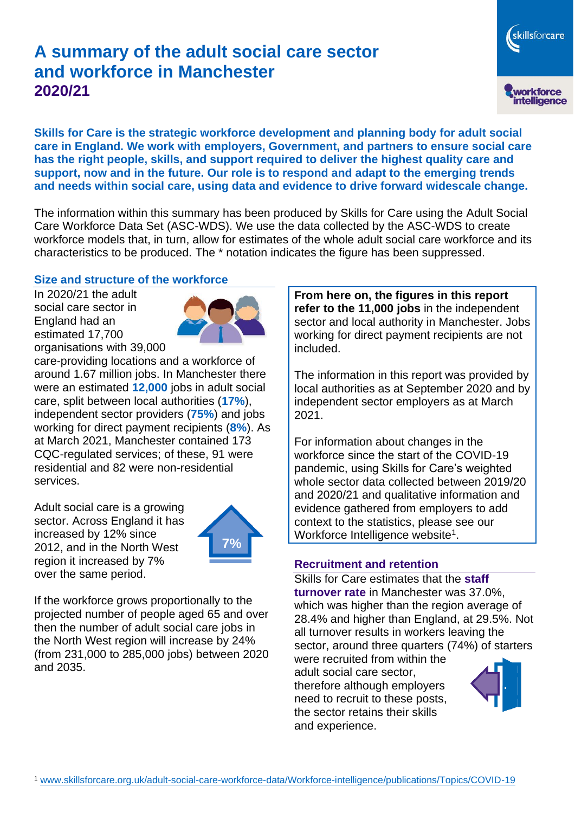# **A summary of the adult social care sector and workforce in Manchester 2020/21**

skillsforcare workforce<br>intelligence

**Skills for Care is the strategic workforce development and planning body for adult social care in England. We work with employers, Government, and partners to ensure social care has the right people, skills, and support required to deliver the highest quality care and support, now and in the future. Our role is to respond and adapt to the emerging trends and needs within social care, using data and evidence to drive forward widescale change.**

The information within this summary has been produced by Skills for Care using the Adult Social Care Workforce Data Set (ASC-WDS). We use the data collected by the ASC-WDS to create workforce models that, in turn, allow for estimates of the whole adult social care workforce and its characteristics to be produced. The \* notation indicates the figure has been suppressed.

## **Size and structure of the workforce**

In 2020/21 the adult social care sector in England had an estimated 17,700 organisations with 39,000



care-providing locations and a workforce of around 1.67 million jobs. In Manchester there were an estimated **12,000** jobs in adult social care, split between local authorities (**17%**), independent sector providers (**75%**) and jobs working for direct payment recipients (**8%**). As at March 2021, Manchester contained 173 CQC-regulated services; of these, 91 were residential and 82 were non-residential services.

Adult social care is a growing sector. Across England it has increased by 12% since 2012, and in the North West region it increased by 7% over the same period.



If the workforce grows proportionally to the projected number of people aged 65 and over then the number of adult social care jobs in the North West region will increase by 24% (from 231,000 to 285,000 jobs) between 2020 and 2035.

**From here on, the figures in this report refer to the 11,000 jobs** in the independent sector and local authority in Manchester. Jobs working for direct payment recipients are not included.

The information in this report was provided by local authorities as at September 2020 and by independent sector employers as at March 2021.

For information about changes in the workforce since the start of the COVID-19 pandemic, using Skills for Care's weighted whole sector data collected between 2019/20 and 2020/21 and qualitative information and evidence gathered from employers to add context to the statistics, please see our Workforce Intelligence website<sup>1</sup>.

### **Recruitment and retention**

Skills for Care estimates that the **staff turnover rate** in Manchester was 37.0%, which was higher than the region average of 28.4% and higher than England, at 29.5%. Not all turnover results in workers leaving the sector, around three quarters (74%) of starters

were recruited from within the adult social care sector, therefore although employers need to recruit to these posts, the sector retains their skills and experience.

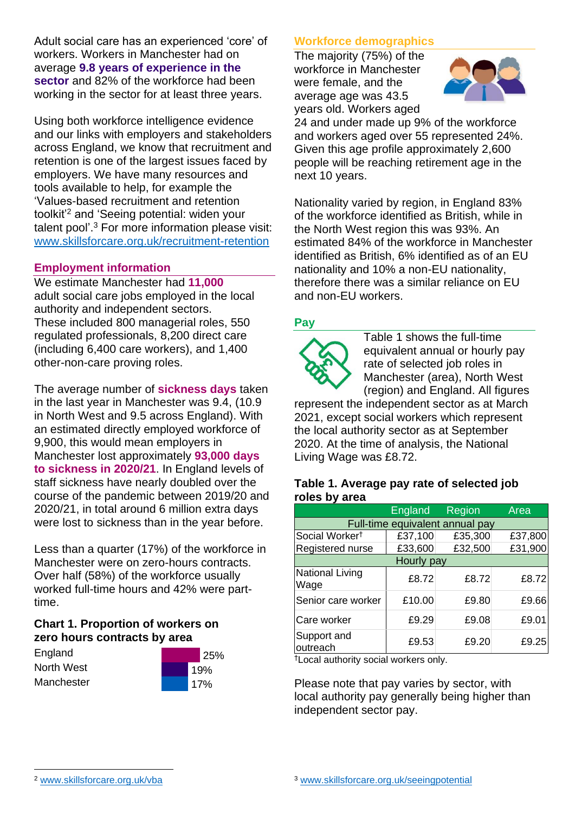Adult social care has an experienced 'core' of workers. Workers in Manchester had on average **9.8 years of experience in the sector** and 82% of the workforce had been working in the sector for at least three years.

Using both workforce intelligence evidence and our links with employers and stakeholders across England, we know that recruitment and retention is one of the largest issues faced by employers. We have many resources and tools available to help, for example the 'Values-based recruitment and retention toolkit'<sup>2</sup> and 'Seeing potential: widen your talent pool'. <sup>3</sup> For more information please visit: [www.skillsforcare.org.uk/recruitment-retention](http://www.skillsforcare.org.uk/recruitment-retention)

### **Employment information**

We estimate Manchester had **11,000** adult social care jobs employed in the local authority and independent sectors. These included 800 managerial roles, 550 regulated professionals, 8,200 direct care (including 6,400 care workers), and 1,400 other-non-care proving roles.

The average number of **sickness days** taken in the last year in Manchester was 9.4, (10.9 in North West and 9.5 across England). With an estimated directly employed workforce of 9,900, this would mean employers in Manchester lost approximately **93,000 days to sickness in 2020/21**. In England levels of staff sickness have nearly doubled over the course of the pandemic between 2019/20 and 2020/21, in total around 6 million extra days were lost to sickness than in the year before.

Less than a quarter (17%) of the workforce in Manchester were on zero-hours contracts. Over half (58%) of the workforce usually worked full-time hours and 42% were parttime.

## **Chart 1. Proportion of workers on zero hours contracts by area**

**England** North West **Manchester** 



# **Workforce demographics**

The majority (75%) of the workforce in Manchester were female, and the average age was 43.5 years old. Workers aged



24 and under made up 9% of the workforce and workers aged over 55 represented 24%. Given this age profile approximately 2,600 people will be reaching retirement age in the next 10 years.

Nationality varied by region, in England 83% of the workforce identified as British, while in the North West region this was 93%. An estimated 84% of the workforce in Manchester identified as British, 6% identified as of an EU nationality and 10% a non-EU nationality, therefore there was a similar reliance on EU and non-EU workers.

### **Pay**



Table 1 shows the full-time equivalent annual or hourly pay rate of selected job roles in Manchester (area), North West (region) and England. All figures

represent the independent sector as at March 2021, except social workers which represent the local authority sector as at September 2020. At the time of analysis, the National Living Wage was £8.72.

#### **Table 1. Average pay rate of selected job roles by area**

|                                 | <b>England</b> | Region  | Area    |
|---------------------------------|----------------|---------|---------|
| Full-time equivalent annual pay |                |         |         |
| Social Worker <sup>t</sup>      | £37,100        | £35,300 | £37,800 |
| Registered nurse                | £33,600        | £32,500 | £31,900 |
| Hourly pay                      |                |         |         |
| National Living<br>Wage         | £8.72          | £8.72   | £8.72   |
| Senior care worker              | £10.00         | £9.80   | £9.66   |
| Care worker                     | £9.29          | £9.08   | £9.01   |
| Support and<br>outreach         | £9.53          | £9.20   | £9.25   |

†Local authority social workers only.

Please note that pay varies by sector, with local authority pay generally being higher than independent sector pay.

[www.skillsforcare.org.uk/vba](http://www.skillsforcare.org.uk/vba)